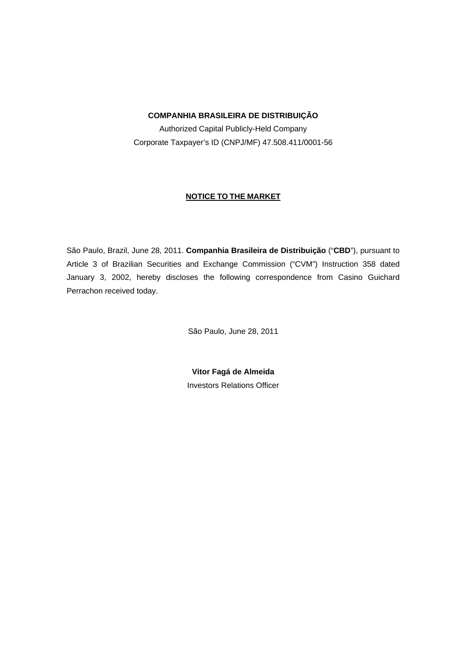## **COMPANHIA BRASILEIRA DE DISTRIBUIÇÃO**

Authorized Capital Publicly-Held Company Corporate Taxpayer's ID (CNPJ/MF) 47.508.411/0001-56

## **NOTICE TO THE MARKET**

São Paulo, Brazil, June 28, 2011. **Companhia Brasileira de Distribuição** ("**CBD**"), pursuant to Article 3 of Brazilian Securities and Exchange Commission ("CVM") Instruction 358 dated January 3, 2002, hereby discloses the following correspondence from Casino Guichard Perrachon received today.

São Paulo, June 28, 2011

**Vitor Fagá de Almeida**  Investors Relations Officer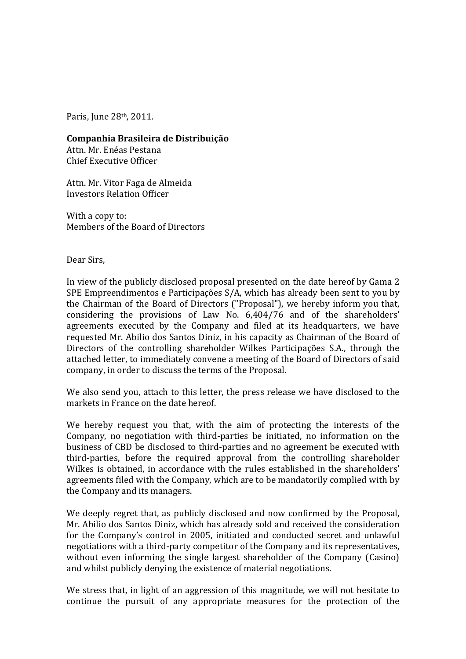Paris, June 28th, 2011.

Companhia Brasileira de Distribuição

Attn. Mr. Enéas Pestana Chief Executive Officer

Attn. Mr. Vitor Faga de Almeida Investors Relation Officer

With a copy to: Members of the Board of Directors

Dear Sirs,

In view of the publicly disclosed proposal presented on the date hereof by Gama 2 SPE Empreendimentos e Participações S/A, which has already been sent to you by the Chairman of the Board of Directors ("Proposal"), we hereby inform you that, considering the provisions of Law No. 6,404/76 and of the shareholders' agreements executed by the Company and filed at its headquarters, we have requested Mr. Abilio dos Santos Diniz, in his capacity as Chairman of the Board of Directors of the controlling shareholder Wilkes Participações S.A., through the attached letter, to immediately convene a meeting of the Board of Directors of said company, in order to discuss the terms of the Proposal.

We also send you, attach to this letter, the press release we have disclosed to the markets in France on the date hereof.

We hereby request you that, with the aim of protecting the interests of the Company, no negotiation with third-parties be initiated, no information on the business of CBD be disclosed to third-parties and no agreement be executed with third-parties, before the required approval from the controlling shareholder Wilkes is obtained, in accordance with the rules established in the shareholders' agreements filed with the Company, which are to be mandatorily complied with by the Company and its managers.

We deeply regret that, as publicly disclosed and now confirmed by the Proposal, Mr. Abilio dos Santos Diniz, which has already sold and received the consideration for the Company's control in 2005, initiated and conducted secret and unlawful negotiations with a third-party competitor of the Company and its representatives, without even informing the single largest shareholder of the Company (Casino) and whilst publicly denying the existence of material negotiations.

We stress that, in light of an aggression of this magnitude, we will not hesitate to continue the pursuit of any appropriate measures for the protection of the